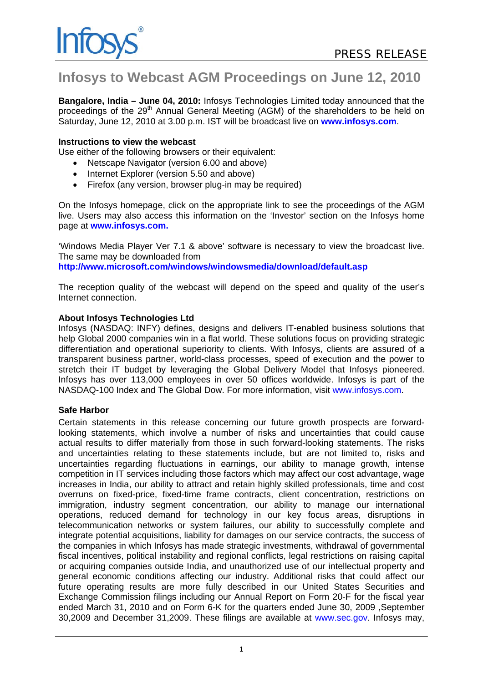## **Infosys to Webcast AGM Proceedings on June 12, 2010**

**Bangalore, India – June 04, 2010:** Infosys Technologies Limited today announced that the proceedings of the 29<sup>th</sup> Annual General Meeting (AGM) of the shareholders to be held on Saturday, June 12, 2010 at 3.00 p.m. IST will be broadcast live on **www.infosys.com**.

## **Instructions to view the webcast**

Use either of the following browsers or their equivalent:

- Netscape Navigator (version 6.00 and above)
- Internet Explorer (version 5.50 and above)
- Firefox (any version, browser plug-in may be required)

On the Infosys homepage, click on the appropriate link to see the proceedings of the AGM live. Users may also access this information on the 'Investor' section on the Infosys home page at **www.infosys.com.** 

'Windows Media Player Ver 7.1 & above' software is necessary to view the broadcast live. The same may be downloaded from

**http://www.microsoft.com/windows/windowsmedia/download/default.asp** 

The reception quality of the webcast will depend on the speed and quality of the user's Internet connection.

## **About Infosys Technologies Ltd**

Infosys (NASDAQ: INFY) defines, designs and delivers IT-enabled business solutions that help Global 2000 companies win in a flat world. These solutions focus on providing strategic differentiation and operational superiority to clients. With Infosys, clients are assured of a transparent business partner, world-class processes, speed of execution and the power to stretch their IT budget by leveraging the Global Delivery Model that Infosys pioneered. Infosys has over 113,000 employees in over 50 offices worldwide. Infosys is part of the NASDAQ-100 Index and The Global Dow. For more information, visit www.infosys.com.

## **Safe Harbor**

Certain statements in this release concerning our future growth prospects are forwardlooking statements, which involve a number of risks and uncertainties that could cause actual results to differ materially from those in such forward-looking statements. The risks and uncertainties relating to these statements include, but are not limited to, risks and uncertainties regarding fluctuations in earnings, our ability to manage growth, intense competition in IT services including those factors which may affect our cost advantage, wage increases in India, our ability to attract and retain highly skilled professionals, time and cost overruns on fixed-price, fixed-time frame contracts, client concentration, restrictions on immigration, industry segment concentration, our ability to manage our international operations, reduced demand for technology in our key focus areas, disruptions in telecommunication networks or system failures, our ability to successfully complete and integrate potential acquisitions, liability for damages on our service contracts, the success of the companies in which Infosys has made strategic investments, withdrawal of governmental fiscal incentives, political instability and regional conflicts, legal restrictions on raising capital or acquiring companies outside India, and unauthorized use of our intellectual property and general economic conditions affecting our industry. Additional risks that could affect our future operating results are more fully described in our United States Securities and Exchange Commission filings including our Annual Report on Form 20-F for the fiscal year ended March 31, 2010 and on Form 6-K for the quarters ended June 30, 2009 ,September 30,2009 and December 31,2009. These filings are available at www.sec.gov. Infosys may,